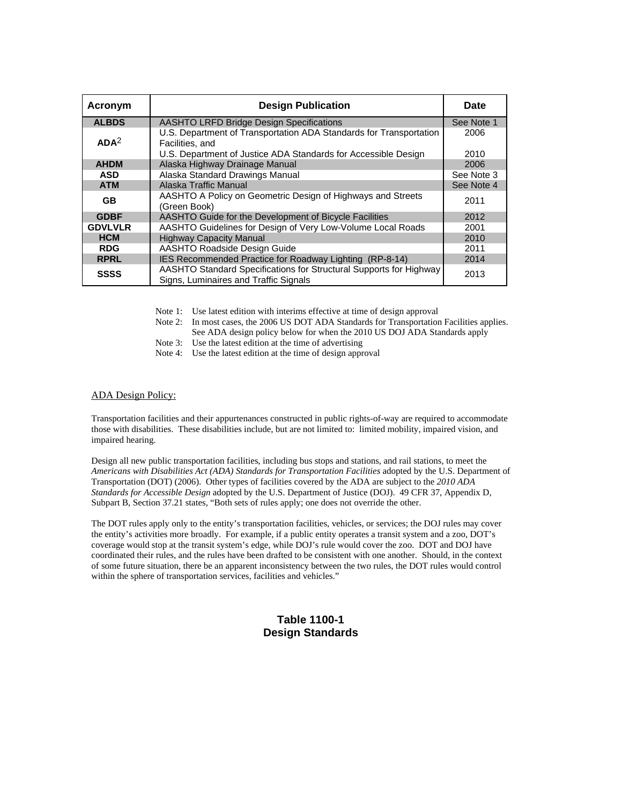| Acronym          | <b>Design Publication</b>                                                                                   | Date         |
|------------------|-------------------------------------------------------------------------------------------------------------|--------------|
| <b>ALBDS</b>     | <b>AASHTO LRFD Bridge Design Specifications</b>                                                             | See Note 1   |
| ADA <sup>2</sup> | U.S. Department of Transportation ADA Standards for Transportation<br>Facilities, and                       | 2006<br>2010 |
| <b>AHDM</b>      | U.S. Department of Justice ADA Standards for Accessible Design<br>Alaska Highway Drainage Manual            | 2006         |
| <b>ASD</b>       | Alaska Standard Drawings Manual                                                                             | See Note 3   |
| <b>ATM</b>       | Alaska Traffic Manual                                                                                       | See Note 4   |
| <b>GB</b>        | AASHTO A Policy on Geometric Design of Highways and Streets<br>(Green Book)                                 | 2011         |
| <b>GDBF</b>      | AASHTO Guide for the Development of Bicycle Facilities                                                      | 2012         |
| <b>GDVLVLR</b>   | AASHTO Guidelines for Design of Very Low-Volume Local Roads                                                 | 2001         |
| <b>HCM</b>       | <b>Highway Capacity Manual</b>                                                                              | 2010         |
| <b>RDG</b>       | AASHTO Roadside Design Guide                                                                                | 2011         |
| <b>RPRL</b>      | IES Recommended Practice for Roadway Lighting (RP-8-14)                                                     | 2014         |
| <b>SSSS</b>      | AASHTO Standard Specifications for Structural Supports for Highway<br>Signs, Luminaires and Traffic Signals | 2013         |

Note 1: Use latest edition with interims effective at time of design approval

Note 2: In most cases, the 2006 US DOT ADA Standards for Transportation Facilities applies. See ADA design policy below for when the 2010 US DOJ ADA Standards apply

Note 3: Use the latest edition at the time of advertising

Note 4: Use the latest edition at the time of design approval

## ADA Design Policy:

Transportation facilities and their appurtenances constructed in public rights-of-way are required to accommodate those with disabilities. These disabilities include, but are not limited to: limited mobility, impaired vision, and impaired hearing.

Design all new public transportation facilities, including bus stops and stations, and rail stations, to meet the *Americans with Disabilities Act (ADA) Standards for Transportation Facilities* adopted by the U.S. Department of Transportation (DOT) (2006). Other types of facilities covered by the ADA are subject to the *2010 ADA Standards for Accessible Design* adopted by the U.S. Department of Justice (DOJ). 49 CFR 37, Appendix D, Subpart B, Section 37.21 states, "Both sets of rules apply; one does not override the other.

The DOT rules apply only to the entity's transportation facilities, vehicles, or services; the DOJ rules may cover the entity's activities more broadly. For example, if a public entity operates a transit system and a zoo, DOT's coverage would stop at the transit system's edge, while DOJ's rule would cover the zoo. DOT and DOJ have coordinated their rules, and the rules have been drafted to be consistent with one another. Should, in the context of some future situation, there be an apparent inconsistency between the two rules, the DOT rules would control within the sphere of transportation services, facilities and vehicles."

## **Table 1100-1 Design Standards**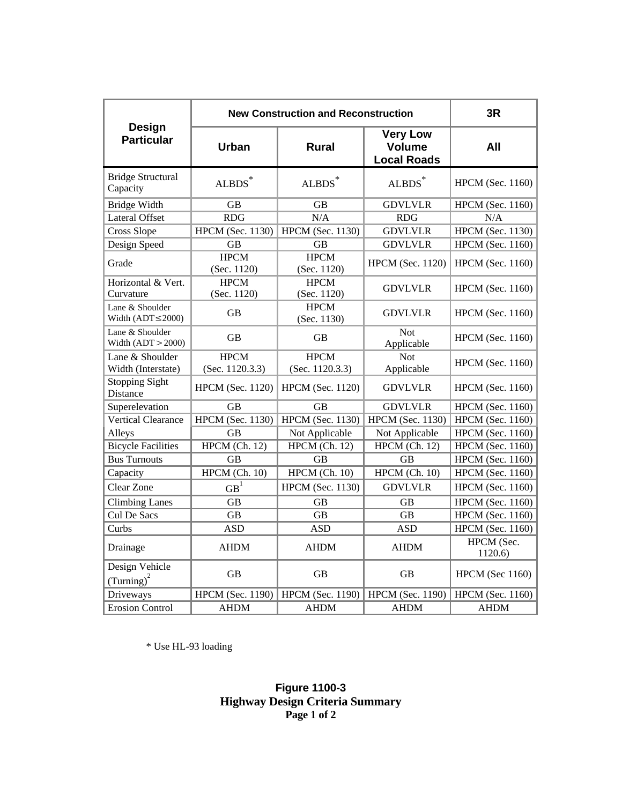|                                           | <b>New Construction and Reconstruction</b> | 3R                             |                                                        |                         |
|-------------------------------------------|--------------------------------------------|--------------------------------|--------------------------------------------------------|-------------------------|
| Design<br><b>Particular</b>               | Urban                                      | <b>Rural</b>                   | <b>Very Low</b><br><b>Volume</b><br><b>Local Roads</b> | All                     |
| <b>Bridge Structural</b><br>Capacity      | $\mbox{ALBDS}^*$                           | $\mbox{ALBDS}^*$               | $\mbox{ALBDS}^*$                                       | <b>HPCM</b> (Sec. 1160) |
| <b>Bridge Width</b>                       | <b>GB</b>                                  | <b>GB</b>                      | <b>GDVLVLR</b>                                         | <b>HPCM</b> (Sec. 1160) |
| <b>Lateral Offset</b>                     | <b>RDG</b>                                 | N/A                            | <b>RDG</b>                                             | N/A                     |
| Cross Slope                               | <b>HPCM</b> (Sec. 1130)                    | <b>HPCM</b> (Sec. 1130)        | <b>GDVLVLR</b>                                         | <b>HPCM</b> (Sec. 1130) |
| Design Speed                              | <b>GB</b>                                  | <b>GB</b>                      | <b>GDVLVLR</b>                                         | <b>HPCM</b> (Sec. 1160) |
| Grade                                     | <b>HPCM</b><br>(Sec. 1120)                 | <b>HPCM</b><br>(Sec. 1120)     | <b>HPCM</b> (Sec. 1120)                                | <b>HPCM</b> (Sec. 1160) |
| Horizontal & Vert.<br>Curvature           | <b>HPCM</b><br>(Sec. 1120)                 | <b>HPCM</b><br>(Sec. 1120)     | <b>GDVLVLR</b>                                         | HPCM (Sec. 1160)        |
| Lane & Shoulder<br>Width $(ADT \le 2000)$ | GB                                         | <b>HPCM</b><br>(Sec. 1130)     | <b>GDVLVLR</b>                                         | <b>HPCM</b> (Sec. 1160) |
| Lane & Shoulder<br>Width $(ADT > 2000)$   | <b>GB</b>                                  | <b>GB</b>                      | <b>Not</b><br>Applicable                               | HPCM (Sec. 1160)        |
| Lane & Shoulder<br>Width (Interstate)     | <b>HPCM</b><br>(Sec. 1120.3.3)             | <b>HPCM</b><br>(Sec. 1120.3.3) | <b>Not</b><br>Applicable                               | <b>HPCM</b> (Sec. 1160) |
| <b>Stopping Sight</b><br>Distance         | <b>HPCM</b> (Sec. 1120)                    | <b>HPCM</b> (Sec. 1120)        | <b>GDVLVLR</b>                                         | <b>HPCM</b> (Sec. 1160) |
| Superelevation                            | <b>GB</b>                                  | <b>GB</b>                      | <b>GDVLVLR</b>                                         | <b>HPCM</b> (Sec. 1160) |
| <b>Vertical Clearance</b>                 | <b>HPCM</b> (Sec. 1130)                    | <b>HPCM</b> (Sec. 1130)        | <b>HPCM</b> (Sec. 1130)                                | <b>HPCM</b> (Sec. 1160) |
| Alleys                                    | <b>GB</b>                                  | Not Applicable                 | Not Applicable                                         | <b>HPCM</b> (Sec. 1160) |
| <b>Bicycle Facilities</b>                 | HPCM (Ch. 12)                              | HPCM (Ch. 12)                  | HPCM (Ch. 12)                                          | <b>HPCM</b> (Sec. 1160) |
| <b>Bus Turnouts</b>                       | <b>GB</b>                                  | <b>GB</b>                      | <b>GB</b>                                              | <b>HPCM</b> (Sec. 1160) |
| Capacity                                  | HPCM (Ch. 10)                              | HPCM (Ch. 10)                  | HPCM (Ch. 10)                                          | <b>HPCM</b> (Sec. 1160) |
| Clear Zone                                | GB <sup>1</sup>                            | HPCM (Sec. 1130)               | <b>GDVLVLR</b>                                         | <b>HPCM</b> (Sec. 1160) |
| <b>Climbing Lanes</b>                     | <b>GB</b>                                  | <b>GB</b>                      | <b>GB</b>                                              | <b>HPCM</b> (Sec. 1160) |
| Cul De Sacs                               | <b>GB</b>                                  | <b>GB</b>                      | <b>GB</b>                                              | <b>HPCM</b> (Sec. 1160) |
| Curbs                                     | <b>ASD</b>                                 | <b>ASD</b>                     | <b>ASD</b>                                             | <b>HPCM</b> (Sec. 1160) |
| Drainage                                  | <b>AHDM</b>                                | <b>AHDM</b>                    | <b>AHDM</b>                                            | HPCM (Sec.<br>1120.6)   |
| Design Vehicle<br>$(Turning)^2$           | <b>GB</b>                                  | <b>GB</b>                      | <b>GB</b>                                              | <b>HPCM</b> (Sec 1160)  |
| Driveways                                 | <b>HPCM</b> (Sec. 1190)                    | <b>HPCM</b> (Sec. 1190)        | <b>HPCM</b> (Sec. 1190)                                | HPCM (Sec. 1160)        |
| <b>Erosion Control</b>                    | <b>AHDM</b>                                | <b>AHDM</b>                    | <b>AHDM</b>                                            | <b>AHDM</b>             |

\* Use HL-93 loading

## **Figure 1100-3 Highway Design Criteria Summary Page 1 of 2**